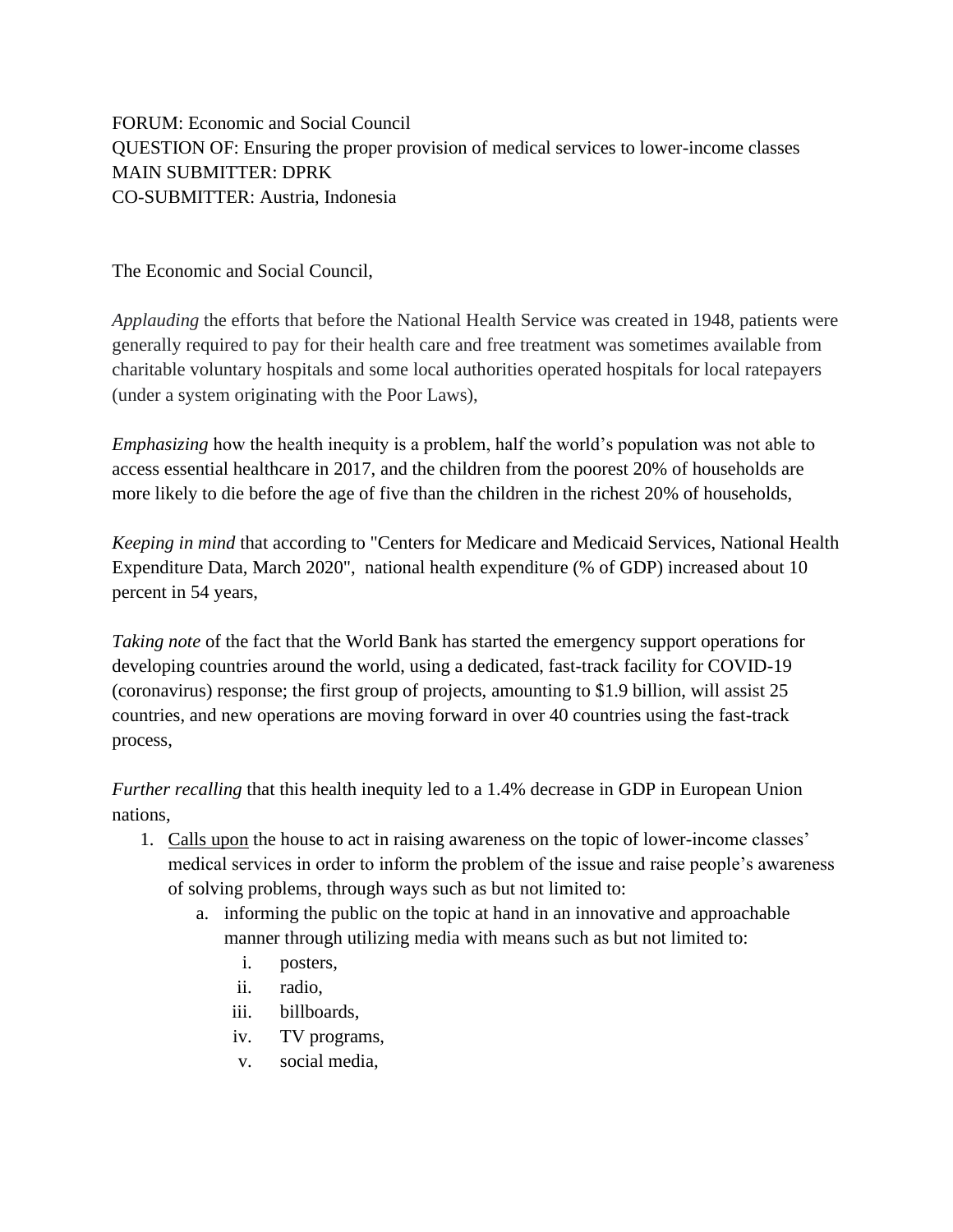FORUM: Economic and Social Council QUESTION OF: Ensuring the proper provision of medical services to lower-income classes MAIN SUBMITTER: DPRK CO-SUBMITTER: Austria, Indonesia

The Economic and Social Council,

*Applauding* the efforts that before the National Health Service was created in 1948, patients were generally required to pay for their health care and free treatment was sometimes available from charitable voluntary hospitals and some local authorities operated hospitals for local ratepayers (under a system originating with the Poor Laws),

*Emphasizing* how the health inequity is a problem, half the world's population was not able to access essential healthcare in 2017, and the children from the poorest 20% of households are more likely to die before the age of five than the children in the richest 20% of households,

*Keeping in mind* that according to "Centers for Medicare and Medicaid Services, National Health Expenditure Data, March 2020", national health expenditure (% of GDP) increased about 10 percent in 54 years,

*Taking note* of the fact that the World Bank has started the emergency support operations for developing countries around the world, using a dedicated, fast-track facility for COVID-19 (coronavirus) response; the first group of projects, amounting to \$1.9 billion, will assist 25 countries, and new operations are moving forward in over 40 countries using the fast-track process,

*Further recalling* that this health inequity led to a 1.4% decrease in GDP in European Union nations,

- 1. Calls upon the house to act in raising awareness on the topic of lower-income classes' medical services in order to inform the problem of the issue and raise people's awareness of solving problems, through ways such as but not limited to:
	- a. informing the public on the topic at hand in an innovative and approachable manner through utilizing media with means such as but not limited to:
		- i. posters,
		- ii. radio,
		- iii. billboards,
		- iv. TV programs,
		- v. social media,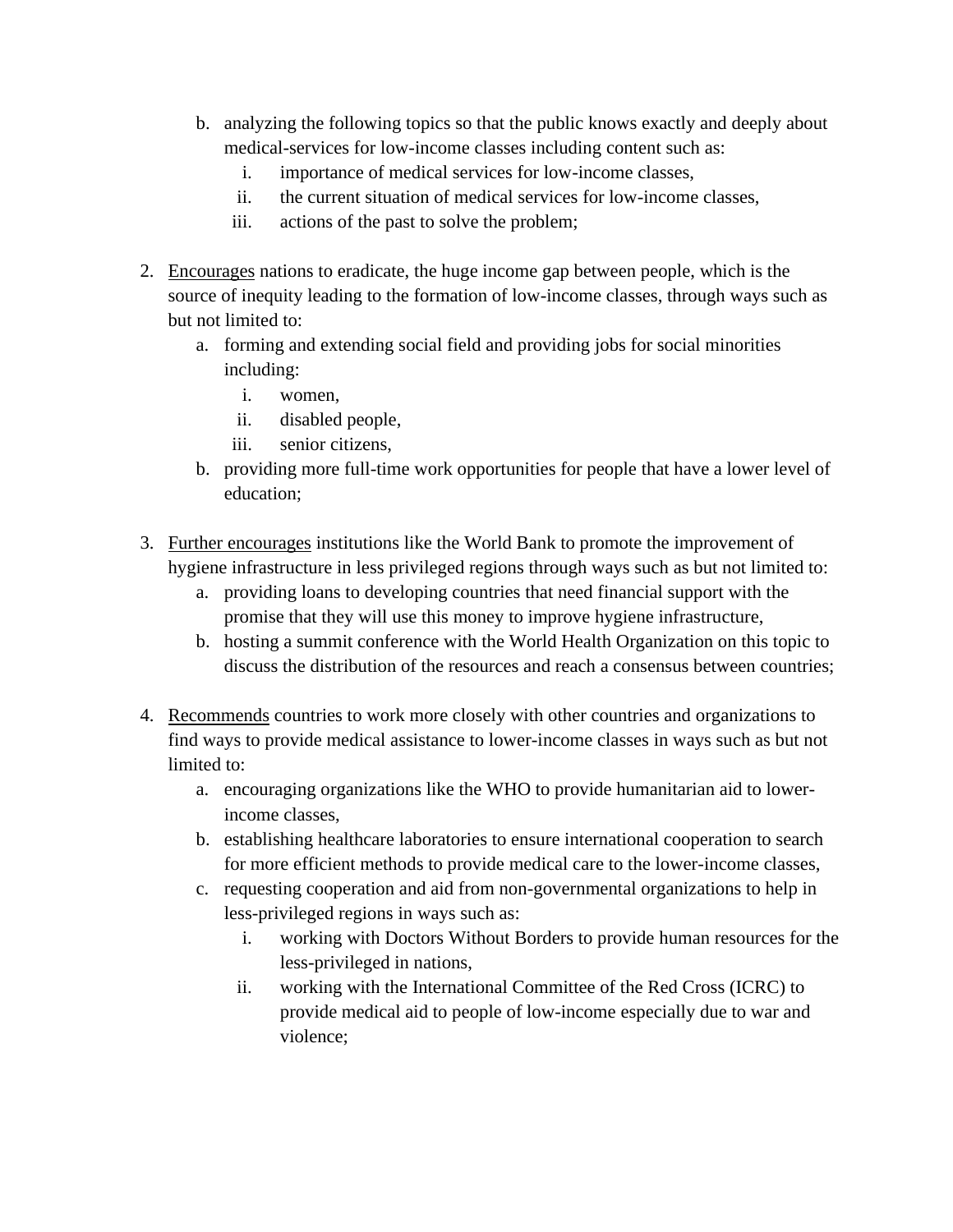- b. analyzing the following topics so that the public knows exactly and deeply about medical-services for low-income classes including content such as:
	- i. importance of medical services for low-income classes,
	- ii. the current situation of medical services for low-income classes,
	- iii. actions of the past to solve the problem;
- 2. Encourages nations to eradicate, the huge income gap between people, which is the source of inequity leading to the formation of low-income classes, through ways such as but not limited to:
	- a. forming and extending social field and providing jobs for social minorities including:
		- i. women,
		- ii. disabled people,
		- iii. senior citizens,
	- b. providing more full-time work opportunities for people that have a lower level of education;
- 3. Further encourages institutions like the World Bank to promote the improvement of hygiene infrastructure in less privileged regions through ways such as but not limited to:
	- a. providing loans to developing countries that need financial support with the promise that they will use this money to improve hygiene infrastructure,
	- b. hosting a summit conference with the World Health Organization on this topic to discuss the distribution of the resources and reach a consensus between countries;
- 4. Recommends countries to work more closely with other countries and organizations to find ways to provide medical assistance to lower-income classes in ways such as but not limited to:
	- a. encouraging organizations like the WHO to provide humanitarian aid to lowerincome classes,
	- b. establishing healthcare laboratories to ensure international cooperation to search for more efficient methods to provide medical care to the lower-income classes,
	- c. requesting cooperation and aid from non-governmental organizations to help in less-privileged regions in ways such as:
		- i. working with Doctors Without Borders to provide human resources for the less-privileged in nations,
		- ii. working with the International Committee of the Red Cross (ICRC) to provide medical aid to people of low-income especially due to war and violence;